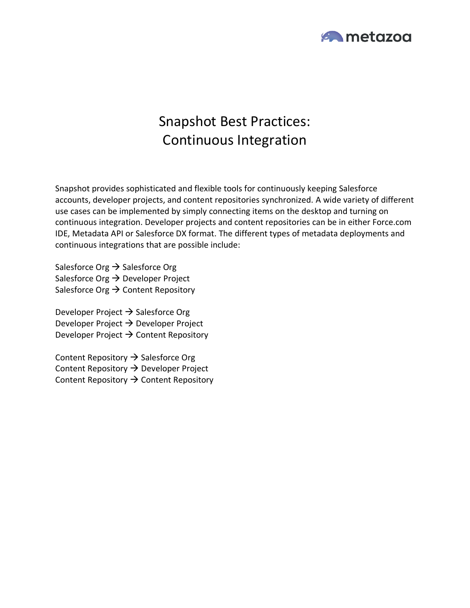

# Snapshot Best Practices: Continuous Integration

Snapshot provides sophisticated and flexible tools for continuously keeping Salesforce accounts, developer projects, and content repositories synchronized. A wide variety of different use cases can be implemented by simply connecting items on the desktop and turning on continuous integration. Developer projects and content repositories can be in either Force.com IDE, Metadata API or Salesforce DX format. The different types of metadata deployments and continuous integrations that are possible include:

Salesforce Org  $\rightarrow$  Salesforce Org Salesforce Org  $\rightarrow$  Developer Project Salesforce Org  $\rightarrow$  Content Repository

Developer Project  $\rightarrow$  Salesforce Org Developer Project  $\rightarrow$  Developer Project Developer Project  $\rightarrow$  Content Repository

Content Repository  $\rightarrow$  Salesforce Org Content Repository → Developer Project Content Repository  $\rightarrow$  Content Repository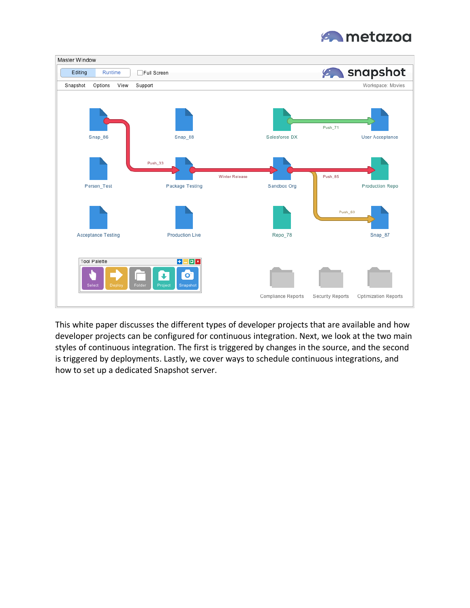



This white paper discusses the different types of developer projects that are available and how developer projects can be configured for continuous integration. Next, we look at the two main styles of continuous integration. The first is triggered by changes in the source, and the second is triggered by deployments. Lastly, we cover ways to schedule continuous integrations, and how to set up a dedicated Snapshot server.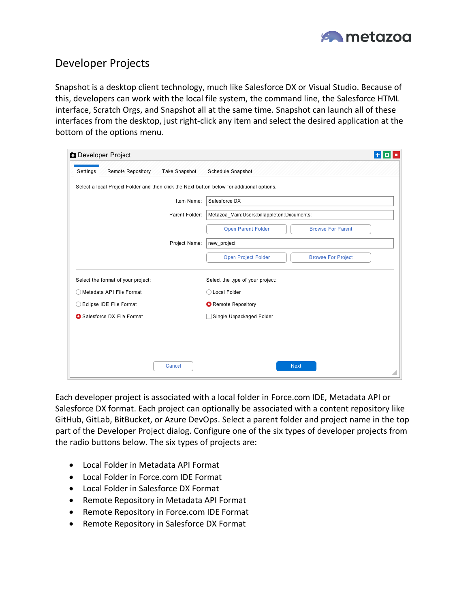

# Developer Projects

Snapshot is a desktop client technology, much like Salesforce DX or Visual Studio. Because of this, developers can work with the local file system, the command line, the Salesforce HTML interface, Scratch Orgs, and Snapshot all at the same time. Snapshot can launch all of these interfaces from the desktop, just right-click any item and select the desired application at the bottom of the options menu.

| Developer Project                                                                          |                | $+$ 0 $\cdot$                                    |
|--------------------------------------------------------------------------------------------|----------------|--------------------------------------------------|
| Settings<br><b>Remote Repository</b>                                                       | Take Snapshot  | Schedule Snapshot                                |
| Select a local Project Folder and then click the Next button below for additional options. |                |                                                  |
|                                                                                            | Item Name:     | Salesforce DX                                    |
|                                                                                            | Parent Folder: | Metazoa Main: Users: billappleton: Documents:    |
|                                                                                            |                | Open Parent Folder<br><b>Browse For Parent</b>   |
|                                                                                            | Project Name:  | new_project                                      |
|                                                                                            |                | Open Project Folder<br><b>Browse For Project</b> |
| Select the format of your project:                                                         |                | Select the type of your project:                 |
| ◯ Metadata API File Format                                                                 |                | ◯ Local Folder                                   |
| ◯ Eclipse IDE File Format                                                                  |                | Remote Repository                                |
| Salesforce DX File Format                                                                  |                | Single Unpackaged Folder<br>- 1                  |
|                                                                                            |                |                                                  |
|                                                                                            |                |                                                  |
|                                                                                            | Cancel         | Next                                             |
|                                                                                            |                |                                                  |

Each developer project is associated with a local folder in Force.com IDE, Metadata API or Salesforce DX format. Each project can optionally be associated with a content repository like GitHub, GitLab, BitBucket, or Azure DevOps. Select a parent folder and project name in the top part of the Developer Project dialog. Configure one of the six types of developer projects from the radio buttons below. The six types of projects are:

- Local Folder in Metadata API Format
- Local Folder in Force.com IDE Format
- Local Folder in Salesforce DX Format
- Remote Repository in Metadata API Format
- Remote Repository in Force.com IDE Format
- Remote Repository in Salesforce DX Format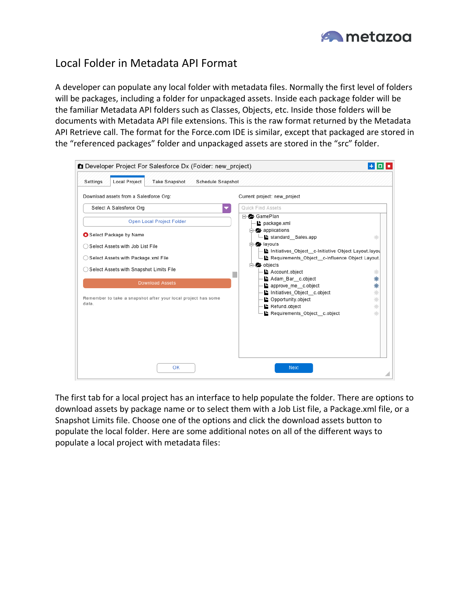

# Local Folder in Metadata API Format

A developer can populate any local folder with metadata files. Normally the first level of folders will be packages, including a folder for unpackaged assets. Inside each package folder will be the familiar Metadata API folders such as Classes, Objects, etc. Inside those folders will be documents with Metadata API file extensions. This is the raw format returned by the Metadata API Retrieve call. The format for the Force.com IDE is similar, except that packaged are stored in the "referenced packages" folder and unpackaged assets are stored in the "src" folder.

| Developer Project For Salesforce Dx (Folder: new project)<br>Local Project<br>Settings<br>Take Snapshot<br>Schedule Snapshot                                                                                                                                                                                                                           |                                                                                                                                                                                                                                                                                                                                                                                                                                                                                               |
|--------------------------------------------------------------------------------------------------------------------------------------------------------------------------------------------------------------------------------------------------------------------------------------------------------------------------------------------------------|-----------------------------------------------------------------------------------------------------------------------------------------------------------------------------------------------------------------------------------------------------------------------------------------------------------------------------------------------------------------------------------------------------------------------------------------------------------------------------------------------|
| Download assets from a Salesforce Org:<br>Select A Salesforce Org<br>Open Local Project Folder<br>Select Package by Name<br>◯ Select Assets with Job List File<br>Select Assets with Package.xml File<br>◯ Select Assets with Snapshot Limits File<br><b>Download Assets</b><br>Remember to take a snapshot after your local project has some<br>data. | Current project: new_project<br>Quick Find Assets<br>GamePlan<br>package.xml<br>$\Box$ applications<br>standard Sales.app<br>米<br>$\Rightarrow$ layouts<br>Initiatives Object c-Initiative Object Layout.layou<br>Requirements Object c-Influence Object Layout.<br>$\Rightarrow$ objects<br>Account.object<br>崇<br>Adam Bar c.object<br>∗<br>approve me c.object<br>∗<br>₩<br>Initiatives Object c.object<br>▶ Opportunity.object<br>∗<br>∗<br>Refund.object<br>Requirements Object c.object |
| OK                                                                                                                                                                                                                                                                                                                                                     | <b>Next</b>                                                                                                                                                                                                                                                                                                                                                                                                                                                                                   |

The first tab for a local project has an interface to help populate the folder. There are options to download assets by package name or to select them with a Job List file, a Package.xml file, or a Snapshot Limits file. Choose one of the options and click the download assets button to populate the local folder. Here are some additional notes on all of the different ways to populate a local project with metadata files: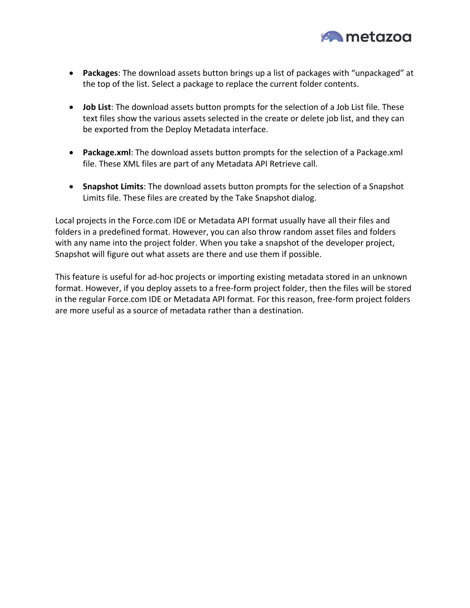

- **Packages**: The download assets button brings up a list of packages with "unpackaged" at the top of the list. Select a package to replace the current folder contents.
- **Job List**: The download assets button prompts for the selection of a Job List file. These text files show the various assets selected in the create or delete job list, and they can be exported from the Deploy Metadata interface.
- **Package.xml**: The download assets button prompts for the selection of a Package.xml file. These XML files are part of any Metadata API Retrieve call.
- **Snapshot Limits**: The download assets button prompts for the selection of a Snapshot Limits file. These files are created by the Take Snapshot dialog.

Local projects in the Force.com IDE or Metadata API format usually have all their files and folders in a predefined format. However, you can also throw random asset files and folders with any name into the project folder. When you take a snapshot of the developer project, Snapshot will figure out what assets are there and use them if possible.

This feature is useful for ad-hoc projects or importing existing metadata stored in an unknown format. However, if you deploy assets to a free-form project folder, then the files will be stored in the regular Force.com IDE or Metadata API format. For this reason, free-form project folders are more useful as a source of metadata rather than a destination.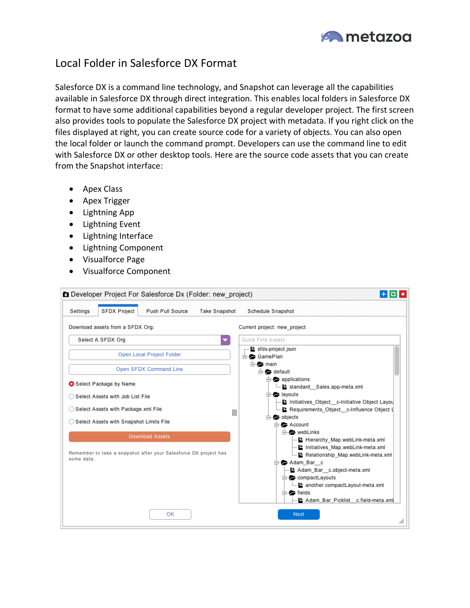

# Local Folder in Salesforce DX Format

Salesforce DX is a command line technology, and Snapshot can leverage all the capabilities available in Salesforce DX through direct integration. This enables local folders in Salesforce DX format to have some additional capabilities beyond a regular developer project. The first screen also provides tools to populate the Salesforce DX project with metadata. If you right click on the files displayed at right, you can create source code for a variety of objects. You can also open the local folder or launch the command prompt. Developers can use the command line to edit with Salesforce DX or other desktop tools. Here are the source code assets that you can create from the Snapshot interface:

- Apex Class
- Apex Trigger
- Lightning App
- Lightning Event
- Lightning Interface
- Lightning Component
- Visualforce Page
- Visualforce Component

| Developer Project For Salesforce Dx (Folder: new_project)                      | 1901 -                                                                                                                                                                                                                                   |
|--------------------------------------------------------------------------------|------------------------------------------------------------------------------------------------------------------------------------------------------------------------------------------------------------------------------------------|
| SFDX Project<br>Push Pull Source<br>Settings<br><b>Take Snapshot</b>           | Schedule Snapshot                                                                                                                                                                                                                        |
| Download assets from a SFDX Org:                                               | Current project: new project                                                                                                                                                                                                             |
| Select A SFDX Org                                                              | Quick Find Assets                                                                                                                                                                                                                        |
| Open Local Project Folder                                                      | sfdx-project.json<br><b>E</b> GamePlan                                                                                                                                                                                                   |
| Open SFDX Command Line                                                         | <b>E</b> main<br>$\Box$ default                                                                                                                                                                                                          |
| Select Package by Name                                                         | $\Box$ applications<br>standard Sales.app-meta.xml                                                                                                                                                                                       |
| ◯ Select Assets with Job List File                                             | $\Box$ layouts                                                                                                                                                                                                                           |
| ◯ Select Assets with Package.xml File                                          | Initiatives Object c-Initiative Object Layou<br>Requirements Object c-Influence Object L<br>$\mathbb{I}$                                                                                                                                 |
| ◯ Select Assets with Snapshot Limits File                                      | $\Box$ objects<br><b>E</b> Account                                                                                                                                                                                                       |
| <b>Download Assets</b>                                                         | e- webLinks<br>Hierarchy Map.webLink-meta.xml                                                                                                                                                                                            |
| Remember to take a snapshot after your Salesforce DX project has<br>some data. | Initiatives Map.webLink-meta.xml<br>Relationship Map.webLink-meta.xml<br><b>⊟—2 Adam Bar</b> c<br>Adam_Bar_c.object-meta.xml<br>compactLayouts<br>Lanother.compactLayout-meta.xml<br>$\Box$ fields<br>Adam_Bar_Picklist_c.field-meta.xml |
| OK                                                                             | Next                                                                                                                                                                                                                                     |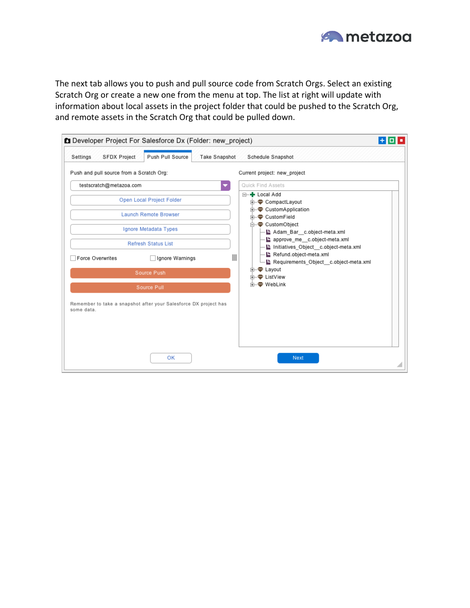

The next tab allows you to push and pull source code from Scratch Orgs. Select an existing Scratch Org or create a new one from the menu at top. The list at right will update with information about local assets in the project folder that could be pushed to the Scratch Org, and remote assets in the Scratch Org that could be pulled down.

| SFDX Project<br>Settings                 | Developer Project For Salesforce Dx (Folder: new_project)<br>Push Pull Source | Take Snapshot         | Schedule Snapshot                                                    | 190 E |
|------------------------------------------|-------------------------------------------------------------------------------|-----------------------|----------------------------------------------------------------------|-------|
| Push and pull source from a Scratch Org: |                                                                               |                       | Current project: new_project                                         |       |
| testscratch@metazoa.com                  |                                                                               |                       | Quick Find Assets                                                    |       |
|                                          | Open Local Project Folder                                                     |                       | ⊟-+ Local Add<br><b>E</b> CompactLayout                              |       |
|                                          | <b>Launch Remote Browser</b>                                                  |                       | <b>E</b> CustomApplication<br><b>E</b> CustomField                   |       |
|                                          | Ignore Metadata Types                                                         |                       | <b>E</b> CustomObject<br>Adam Bar c.object-meta.xml                  |       |
|                                          | <b>Refresh Status List</b>                                                    |                       | approve me c.object-meta.xml<br>Initiatives Object c.object-meta.xml |       |
| Force Overwrites                         | Ignore Warnings                                                               | $\parallel \parallel$ | Refund.object-meta.xml<br>Requirements Object c.object-meta.xml      |       |
|                                          | Source Push                                                                   |                       | <b>E</b> Layout<br><b>E</b> ListView                                 |       |
|                                          | Source Pull                                                                   |                       | <b>FI- WebLink</b>                                                   |       |
| some data.                               | Remember to take a snapshot after your Salesforce DX project has              |                       |                                                                      |       |
|                                          | OK                                                                            |                       | Next                                                                 |       |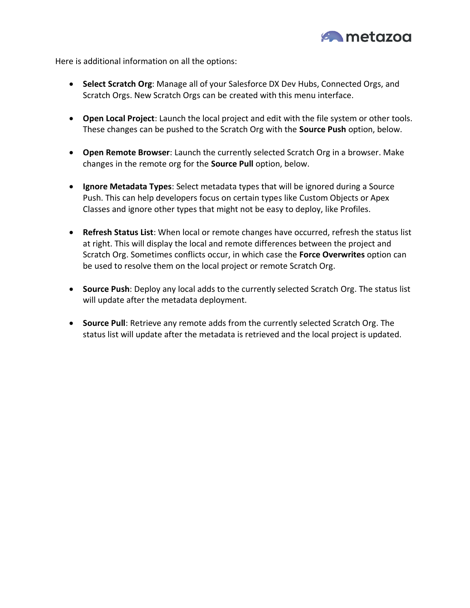

Here is additional information on all the options:

- **Select Scratch Org**: Manage all of your Salesforce DX Dev Hubs, Connected Orgs, and Scratch Orgs. New Scratch Orgs can be created with this menu interface.
- **Open Local Project**: Launch the local project and edit with the file system or other tools. These changes can be pushed to the Scratch Org with the **Source Push** option, below.
- **Open Remote Browser**: Launch the currently selected Scratch Org in a browser. Make changes in the remote org for the **Source Pull** option, below.
- **Ignore Metadata Types**: Select metadata types that will be ignored during a Source Push. This can help developers focus on certain types like Custom Objects or Apex Classes and ignore other types that might not be easy to deploy, like Profiles.
- **Refresh Status List**: When local or remote changes have occurred, refresh the status list at right. This will display the local and remote differences between the project and Scratch Org. Sometimes conflicts occur, in which case the **Force Overwrites** option can be used to resolve them on the local project or remote Scratch Org.
- **Source Push**: Deploy any local adds to the currently selected Scratch Org. The status list will update after the metadata deployment.
- **Source Pull**: Retrieve any remote adds from the currently selected Scratch Org. The status list will update after the metadata is retrieved and the local project is updated.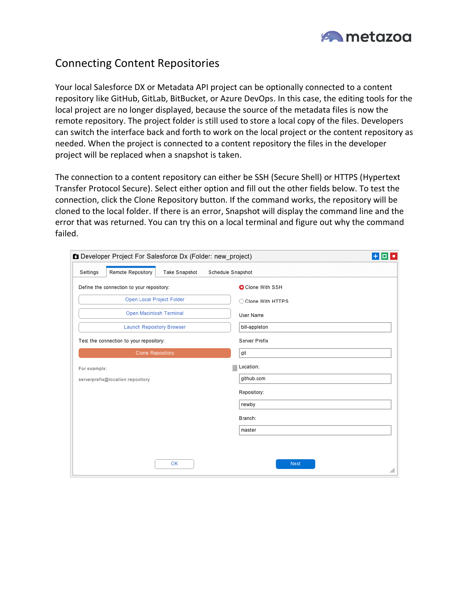

# Connecting Content Repositories

Your local Salesforce DX or Metadata API project can be optionally connected to a content repository like GitHub, GitLab, BitBucket, or Azure DevOps. In this case, the editing tools for the local project are no longer displayed, because the source of the metadata files is now the remote repository. The project folder is still used to store a local copy of the files. Developers can switch the interface back and forth to work on the local project or the content repository as needed. When the project is connected to a content repository the files in the developer project will be replaced when a snapshot is taken.

The connection to a content repository can either be SSH (Secure Shell) or HTTPS (Hypertext Transfer Protocol Secure). Select either option and fill out the other fields below. To test the connection, click the Clone Repository button. If the command works, the repository will be cloned to the local folder. If there is an error, Snapshot will display the command line and the error that was returned. You can try this on a local terminal and figure out why the command failed.

| Developer Project For Salesforce Dx (Folder: new_project) | $+0.1$             |
|-----------------------------------------------------------|--------------------|
| Remote Repository<br>Take Snapshot<br>Settings            | Schedule Snapshot  |
| Define the connection to your repository:                 | Clone With SSH     |
| Open Local Project Folder                                 | C Clone With HTTPS |
| Open Macintosh Terminal                                   | User Name          |
| <b>Launch Repository Browser</b>                          | bill-appleton      |
| Test the connection to your repository:                   | Server Prefix      |
| <b>Clone Repository</b>                                   | git                |
| For example:                                              | Location:          |
| serverprefix@location:repository                          | github.com         |
|                                                           | Repository:        |
|                                                           | newby              |
|                                                           | Branch:            |
|                                                           | master             |
|                                                           |                    |
| OK                                                        | Next               |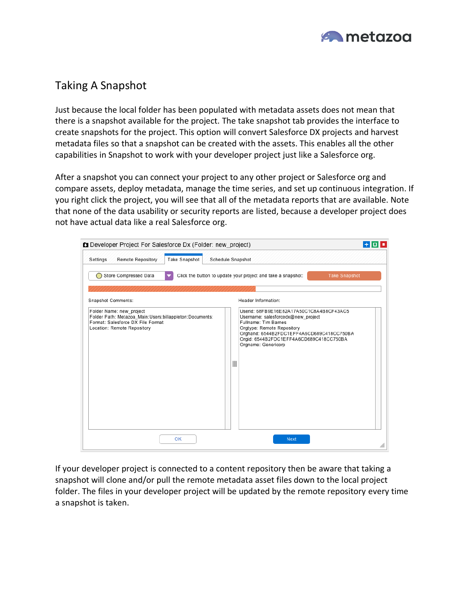

# Taking A Snapshot

Just because the local folder has been populated with metadata assets does not mean that there is a snapshot available for the project. The take snapshot tab provides the interface to create snapshots for the project. This option will convert Salesforce DX projects and harvest metadata files so that a snapshot can be created with the assets. This enables all the other capabilities in Snapshot to work with your developer project just like a Salesforce org.

After a snapshot you can connect your project to any other project or Salesforce org and compare assets, deploy metadata, manage the time series, and set up continuous integration. If you right click the project, you will see that all of the metadata reports that are available. Note that none of the data usability or security reports are listed, because a developer project does not have actual data like a real Salesforce org.



If your developer project is connected to a content repository then be aware that taking a snapshot will clone and/or pull the remote metadata asset files down to the local project folder. The files in your developer project will be updated by the remote repository every time a snapshot is taken.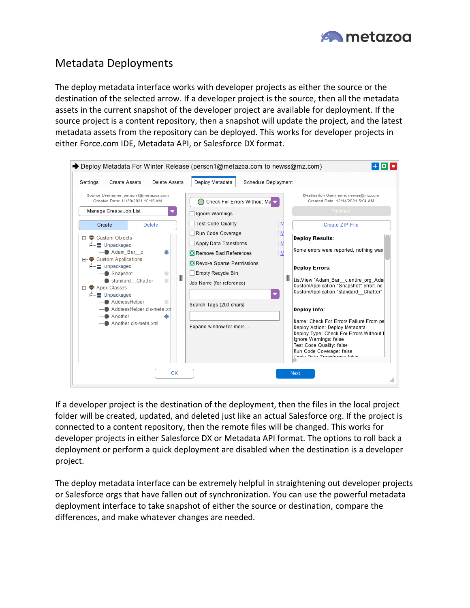

# Metadata Deployments

The deploy metadata interface works with developer projects as either the source or the destination of the selected arrow. If a developer project is the source, then all the metadata assets in the current snapshot of the developer project are available for deployment. If the source project is a content repository, then a snapshot will update the project, and the latest metadata assets from the repository can be deployed. This works for developer projects in either Force.com IDE, Metadata API, or Salesforce DX format.



If a developer project is the destination of the deployment, then the files in the local project folder will be created, updated, and deleted just like an actual Salesforce org. If the project is connected to a content repository, then the remote files will be changed. This works for developer projects in either Salesforce DX or Metadata API format. The options to roll back a deployment or perform a quick deployment are disabled when the destination is a developer project.

The deploy metadata interface can be extremely helpful in straightening out developer projects or Salesforce orgs that have fallen out of synchronization. You can use the powerful metadata deployment interface to take snapshot of either the source or destination, compare the differences, and make whatever changes are needed.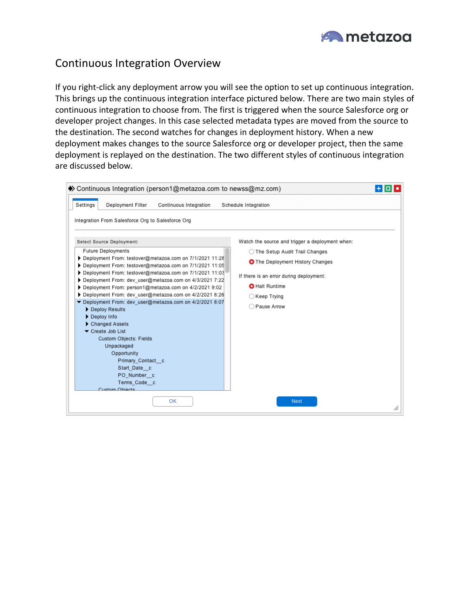

# Continuous Integration Overview

If you right-click any deployment arrow you will see the option to set up continuous integration. This brings up the continuous integration interface pictured below. There are two main styles of continuous integration to choose from. The first is triggered when the source Salesforce org or developer project changes. In this case selected metadata types are moved from the source to the destination. The second watches for changes in deployment history. When a new deployment makes changes to the source Salesforce org or developer project, then the same deployment is replayed on the destination. The two different styles of continuous integration are discussed below.

| ◆ Continuous Integration (person1@metazoa.com to newss@mz.com)<br>Deployment Filter<br>Settings<br>Continuous Integration                                                                                                                                                                                                                                                                                                                                                                                | <u> Flate</u><br>Schedule Integration                                                              |
|----------------------------------------------------------------------------------------------------------------------------------------------------------------------------------------------------------------------------------------------------------------------------------------------------------------------------------------------------------------------------------------------------------------------------------------------------------------------------------------------------------|----------------------------------------------------------------------------------------------------|
| Integration From Salesforce Org to Salesforce Org<br>Select Source Deployment:                                                                                                                                                                                                                                                                                                                                                                                                                           | Watch the source and trigger a deployment when:                                                    |
| <b>Future Deployments</b>                                                                                                                                                                                                                                                                                                                                                                                                                                                                                | ◯ The Setup Audit Trail Changes                                                                    |
| Deployment From: testover@metazoa.com on 7/1/2021 11:28<br>Deployment From: testover@metazoa.com on 7/1/2021 11:05                                                                                                                                                                                                                                                                                                                                                                                       | <b>O</b> The Deployment History Changes                                                            |
| Deployment From: testover@metazoa.com on 7/1/2021 11:03<br>Deployment From: dev user@metazoa.com on 4/3/2021 7:22<br>▶ Deployment From: person1@metazoa.com on 4/2/2021 9:02<br>Deployment From: dev_user@metazoa.com on 4/2/2021 8:26<br>Deployment From: dev user@metazoa.com on 4/2/2021 8:07<br>Deploy Results<br>Deploy Info<br>Changed Assets<br>Create Job List<br><b>Custom Objects: Fields</b><br>Unpackaged<br>Opportunity<br>Primary Contact c<br>Start Date c<br>PO Number c<br>Terms_Code_c | If there is an error during deployment:<br><b>O</b> Halt Runtime<br>◯ Keep Trying<br>◯ Pause Arrow |
| Custom Objects<br>OK                                                                                                                                                                                                                                                                                                                                                                                                                                                                                     | <b>Next</b>                                                                                        |
|                                                                                                                                                                                                                                                                                                                                                                                                                                                                                                          |                                                                                                    |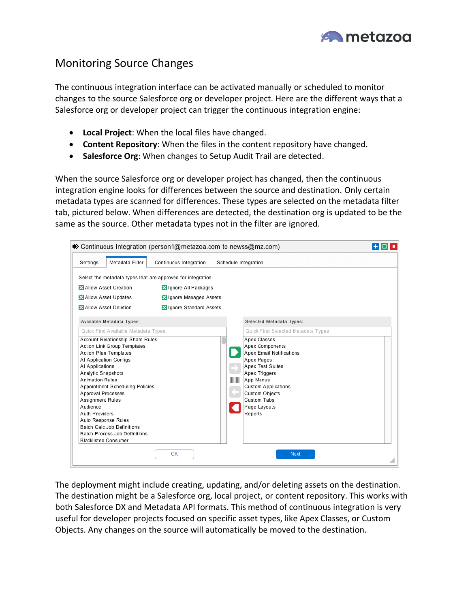

# Monitoring Source Changes

The continuous integration interface can be activated manually or scheduled to monitor changes to the source Salesforce org or developer project. Here are the different ways that a Salesforce org or developer project can trigger the continuous integration engine:

- **Local Project**: When the local files have changed.
- **Content Repository**: When the files in the content repository have changed.
- **Salesforce Org**: When changes to Setup Audit Trail are detected.

When the source Salesforce org or developer project has changed, then the continuous integration engine looks for differences between the source and destination. Only certain metadata types are scanned for differences. These types are selected on the metadata filter tab, pictured below. When differences are detected, the destination org is updated to be the same as the source. Other metadata types not in the filter are ignored.

| Metadata Filter<br>Settings                                                                                                                                                                                                                                                                                                                                                                                                                                                       | Continuous Integration                                                          | Schedule Integration                                      |                                                                                                                                                                                                                                                                                  |  |
|-----------------------------------------------------------------------------------------------------------------------------------------------------------------------------------------------------------------------------------------------------------------------------------------------------------------------------------------------------------------------------------------------------------------------------------------------------------------------------------|---------------------------------------------------------------------------------|-----------------------------------------------------------|----------------------------------------------------------------------------------------------------------------------------------------------------------------------------------------------------------------------------------------------------------------------------------|--|
| Select the metadata types that are approved for integration.<br>Allow Asset Creation<br>Allow Asset Updates<br>Allow Asset Deletion<br>Available Metadata Types:                                                                                                                                                                                                                                                                                                                  | <b>X</b> Ignore All Packages<br>Ignore Managed Assets<br>Ignore Standard Assets |                                                           | Selected Metadata Types:                                                                                                                                                                                                                                                         |  |
| Quick Find Available Metadata Types<br>Account Relationship Share Rules<br>Action Link Group Templates<br><b>Action Plan Templates</b><br>AI Application Configs<br>AI Applications<br>Analytic Snapshots<br><b>Animation Rules</b><br>Appointment Scheduling Policies<br>Approval Processes<br><b>Assignment Rules</b><br>Audience<br>Auth Providers<br>Auto Response Rules<br><b>Batch Calc Job Definitions</b><br>Batch Process Job Definitions<br><b>Blacklisted Consumer</b> |                                                                                 | $\overline{\phantom{a}}$<br>m.<br>$\  \ \  \ \  \ $<br>C. | Quick Find Selected Metadata Types<br>Apex Classes<br>Apex Components<br><b>Apex Email Notifications</b><br>Apex Pages<br><b>Apex Test Suites</b><br>Apex Triggers<br>App Menus<br><b>Custom Applications</b><br><b>Custom Objects</b><br>Custom Tabs<br>Page Layouts<br>Reports |  |

The deployment might include creating, updating, and/or deleting assets on the destination. The destination might be a Salesforce org, local project, or content repository. This works with both Salesforce DX and Metadata API formats. This method of continuous integration is very useful for developer projects focused on specific asset types, like Apex Classes, or Custom Objects. Any changes on the source will automatically be moved to the destination.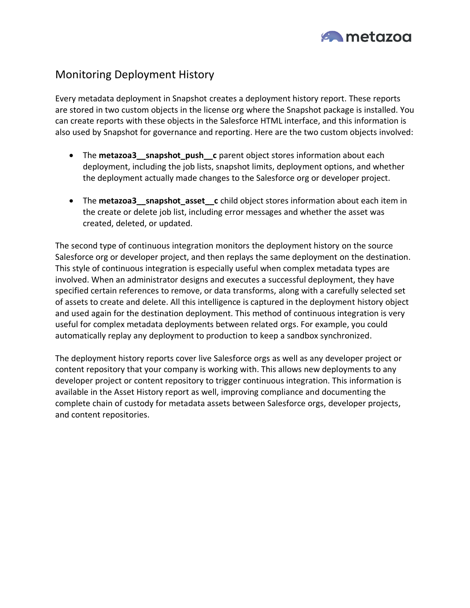

# Monitoring Deployment History

Every metadata deployment in Snapshot creates a deployment history report. These reports are stored in two custom objects in the license org where the Snapshot package is installed. You can create reports with these objects in the Salesforce HTML interface, and this information is also used by Snapshot for governance and reporting. Here are the two custom objects involved:

- The **metazoa3\_\_snapshot\_push\_\_c** parent object stores information about each deployment, including the job lists, snapshot limits, deployment options, and whether the deployment actually made changes to the Salesforce org or developer project.
- The **metazoa3\_\_snapshot\_asset\_\_c** child object stores information about each item in the create or delete job list, including error messages and whether the asset was created, deleted, or updated.

The second type of continuous integration monitors the deployment history on the source Salesforce org or developer project, and then replays the same deployment on the destination. This style of continuous integration is especially useful when complex metadata types are involved. When an administrator designs and executes a successful deployment, they have specified certain references to remove, or data transforms, along with a carefully selected set of assets to create and delete. All this intelligence is captured in the deployment history object and used again for the destination deployment. This method of continuous integration is very useful for complex metadata deployments between related orgs. For example, you could automatically replay any deployment to production to keep a sandbox synchronized.

The deployment history reports cover live Salesforce orgs as well as any developer project or content repository that your company is working with. This allows new deployments to any developer project or content repository to trigger continuous integration. This information is available in the Asset History report as well, improving compliance and documenting the complete chain of custody for metadata assets between Salesforce orgs, developer projects, and content repositories.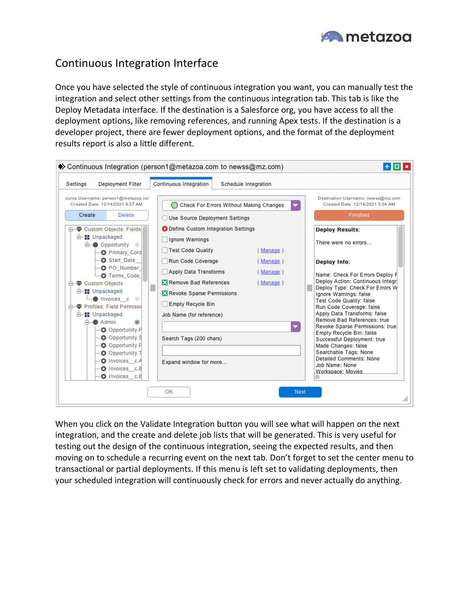

# Continuous Integration Interface

Once you have selected the style of continuous integration you want, you can manually test the integration and select other settings from the continuous integration tab. This tab is like the Deploy Metadata interface. If the destination is a Salesforce org, you have access to all the deployment options, like removing references, and running Apex tests. If the destination is a developer project, there are fewer deployment options, and the format of the deployment results report is also a little different.



When you click on the Validate Integration button you will see what will happen on the next integration, and the create and delete job lists that will be generated. This is very useful for testing out the design of the continuous integration, seeing the expected results, and then moving on to schedule a recurring event on the next tab. Don't forget to set the center menu to transactional or partial deployments. If this menu is left set to validating deployments, then your scheduled integration will continuously check for errors and never actually do anything.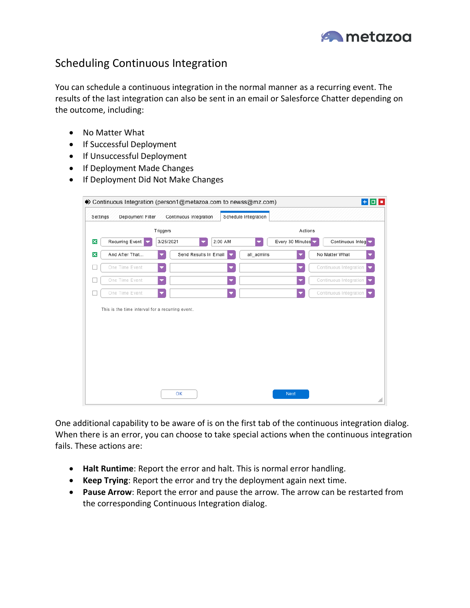

# Scheduling Continuous Integration

You can schedule a continuous integration in the normal manner as a recurring event. The results of the last integration can also be sent in an email or Salesforce Chatter depending on the outcome, including:

- No Matter What
- If Successful Deployment
- If Unsuccessful Deployment
- If Deployment Made Changes
- If Deployment Did Not Make Changes

|                           | Settings<br>Deployment Filter                                      |                          | Continuous Integration |         | Schedule Integration |                  |                             |
|---------------------------|--------------------------------------------------------------------|--------------------------|------------------------|---------|----------------------|------------------|-----------------------------|
|                           |                                                                    | Triggers                 |                        |         |                      | Actions          |                             |
| $\boldsymbol{\mathsf{x}}$ | Recurring Event                                                    | 3/25/2021                | ▼                      | 2:00 AM |                      | Every 30 Minutes | Continuous Integ            |
| $\boldsymbol{\mathsf{x}}$ | And After That                                                     |                          | Send Results In Email  |         | all_admins           |                  | No Matter What              |
|                           | One Time Event                                                     |                          |                        |         |                      |                  | Continuous Integration      |
|                           | One Time Event                                                     | $\overline{\phantom{a}}$ |                        | ▼       |                      | ▼                | Continuous Integration<br>▼ |
|                           |                                                                    |                          |                        |         |                      |                  |                             |
|                           | One Time Event<br>This is the time interval for a recurring event. |                          |                        | ▼       |                      |                  | Continuous Integration      |
|                           |                                                                    |                          |                        |         |                      |                  |                             |
|                           |                                                                    |                          |                        |         |                      |                  |                             |
|                           |                                                                    |                          |                        |         |                      |                  |                             |

One additional capability to be aware of is on the first tab of the continuous integration dialog. When there is an error, you can choose to take special actions when the continuous integration fails. These actions are:

- **Halt Runtime**: Report the error and halt. This is normal error handling.
- **Keep Trying**: Report the error and try the deployment again next time.
- **Pause Arrow**: Report the error and pause the arrow. The arrow can be restarted from the corresponding Continuous Integration dialog.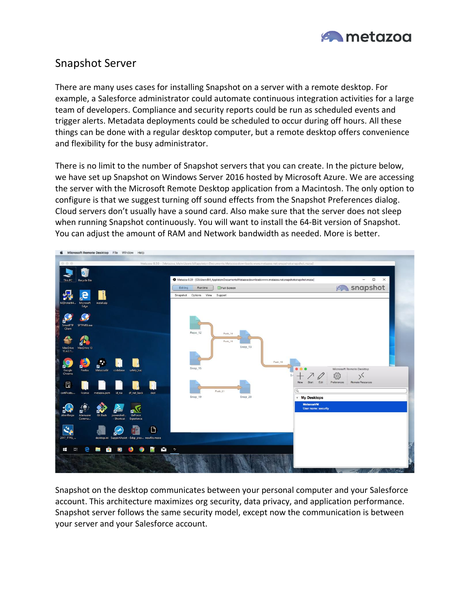

### Snapshot Server

There are many uses cases for installing Snapshot on a server with a remote desktop. For example, a Salesforce administrator could automate continuous integration activities for a large team of developers. Compliance and security reports could be run as scheduled events and trigger alerts. Metadata deployments could be scheduled to occur during off hours. All these things can be done with a regular desktop computer, but a remote desktop offers convenience and flexibility for the busy administrator.

There is no limit to the number of Snapshot servers that you can create. In the picture below, we have set up Snapshot on Windows Server 2016 hosted by Microsoft Azure. We are accessing the server with the Microsoft Remote Desktop application from a Macintosh. The only option to configure is that we suggest turning off sound effects from the Snapshot Preferences dialog. Cloud servers don't usually have a sound card. Also make sure that the server does not sleep when running Snapshot continuously. You will want to install the 64-Bit version of Snapshot. You can adjust the amount of RAM and Network bandwidth as needed. More is better.



Snapshot on the desktop communicates between your personal computer and your Salesforce account. This architecture maximizes org security, data privacy, and application performance. Snapshot server follows the same security model, except now the communication is between your server and your Salesforce account.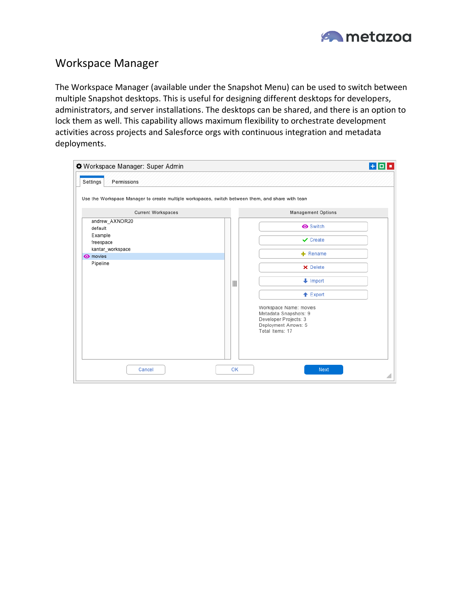

#### Workspace Manager

The Workspace Manager (available under the Snapshot Menu) can be used to switch between multiple Snapshot desktops. This is useful for designing different desktops for developers, administrators, and server installations. The desktops can be shared, and there is an option to lock them as well. This capability allows maximum flexibility to orchestrate development activities across projects and Salesforce orgs with continuous integration and metadata deployments.

| Workspace Manager: Super Admin                                                                    |  |  | $+0.1$                                                                                                                                                             |  |  |  |
|---------------------------------------------------------------------------------------------------|--|--|--------------------------------------------------------------------------------------------------------------------------------------------------------------------|--|--|--|
| Settings<br>Permissions                                                                           |  |  |                                                                                                                                                                    |  |  |  |
| Use the Workspace Manager to create multiple workspaces, switch between them, and share with tean |  |  |                                                                                                                                                                    |  |  |  |
| <b>Current Workspaces</b>                                                                         |  |  | <b>Management Options</b>                                                                                                                                          |  |  |  |
| andrew_AXNOR20<br>default<br>Example<br>freespace                                                 |  |  | <b>O</b> Switch<br>$\vee$ Create                                                                                                                                   |  |  |  |
| kantar_workspace                                                                                  |  |  |                                                                                                                                                                    |  |  |  |
| <b>O</b> movies                                                                                   |  |  | $+$ Rename                                                                                                                                                         |  |  |  |
| Pipeline                                                                                          |  |  | X Delete<br>$\downarrow$ Import<br>← Export<br>Workspace Name: movies<br>Metadata Snapshots: 9<br>Developer Projects: 3<br>Deployment Arrows: 5<br>Total Items: 17 |  |  |  |
| OK<br>Cancel<br>Next                                                                              |  |  |                                                                                                                                                                    |  |  |  |